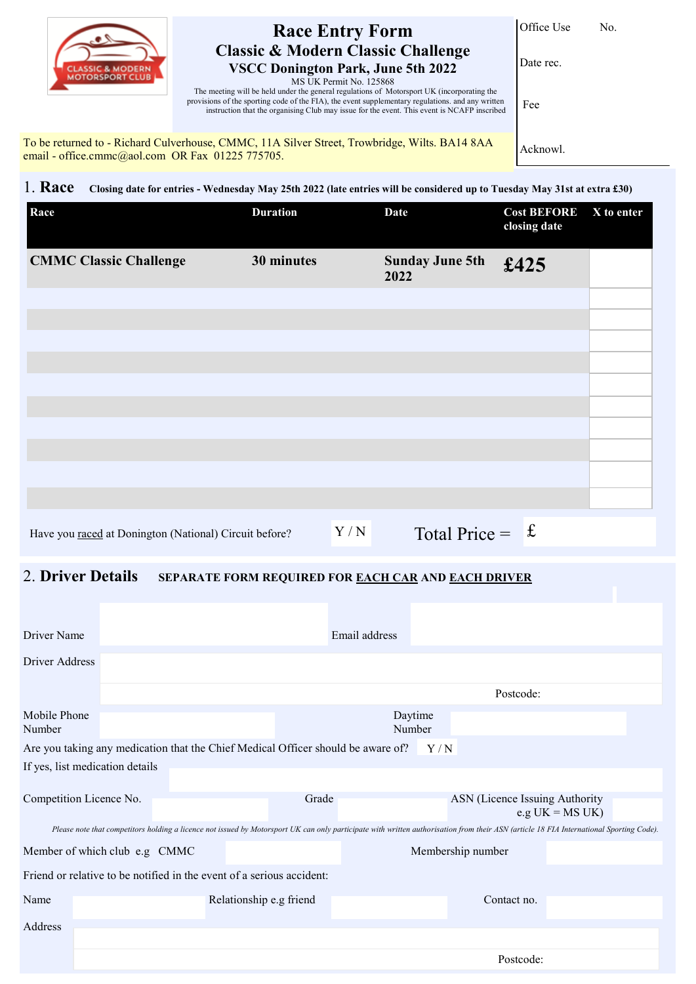

## **Race Entry Form Classic & Modern Classic Challenge VSCC Donington Park, June 5th 2022**

Office Use No.

Date rec.

MS UK Permit No. 125868 The meeting will be held under the general regulations of Motorsport UK (incorporating the provisions of the sporting code of the FIA), the event supplementary regulations. and any written instruction that the organising Club may issue for the event. This event is NCAFP inscribed

To be returned to - Richard Culverhouse, CMMC, 11A Silver Street, Trowbridge, Wilts. BA14 8AA email - office.cmmc@aol.com OR Fax 01225 775705.

Acknowl.

Fee

1. **Race Closing date for entries - Wednesday May 25th 2022 (late entries will be considered up to Tuesday May 31st at extra £30)**

| Race                                                   | <b>Duration</b> |     | <b>Date</b>                    | <b>Cost BEFORE</b><br>closing date | X to enter |
|--------------------------------------------------------|-----------------|-----|--------------------------------|------------------------------------|------------|
| <b>CMMC Classic Challenge</b>                          | 30 minutes      |     | <b>Sunday June 5th</b><br>2022 | £425                               |            |
|                                                        |                 |     |                                |                                    |            |
|                                                        |                 |     |                                |                                    |            |
|                                                        |                 |     |                                |                                    |            |
|                                                        |                 |     |                                |                                    |            |
|                                                        |                 |     |                                |                                    |            |
|                                                        |                 |     |                                |                                    |            |
| Have you raced at Donington (National) Circuit before? |                 | Y/N | Total Price = $f$              |                                    |            |

## 2. **Driver Details SEPARATE FORM REQUIRED FOR EACH CAR AND EACH DRIVER**

| Driver Name                                                                                                                                                                             |                         |                   |                         | Email address     |  |                                |                    |  |
|-----------------------------------------------------------------------------------------------------------------------------------------------------------------------------------------|-------------------------|-------------------|-------------------------|-------------------|--|--------------------------------|--------------------|--|
| Driver Address                                                                                                                                                                          |                         |                   |                         |                   |  |                                |                    |  |
|                                                                                                                                                                                         |                         |                   |                         |                   |  | Postcode:                      |                    |  |
| Mobile Phone<br>Number                                                                                                                                                                  |                         | Daytime<br>Number |                         |                   |  |                                |                    |  |
| Are you taking any medication that the Chief Medical Officer should be aware of?<br>Y/N                                                                                                 |                         |                   |                         |                   |  |                                |                    |  |
| If yes, list medication details                                                                                                                                                         |                         |                   |                         |                   |  |                                |                    |  |
|                                                                                                                                                                                         | Competition Licence No. |                   |                         | Grade             |  | ASN (Licence Issuing Authority | e.g $UK = MS UK$ ) |  |
| Please note that competitors holding a licence not issued by Motorsport UK can only participate with written authorisation from their ASN (article 18 FIA International Sporting Code). |                         |                   |                         |                   |  |                                |                    |  |
| Member of which club e.g CMMC                                                                                                                                                           |                         |                   |                         | Membership number |  |                                |                    |  |
| Friend or relative to be notified in the event of a serious accident:                                                                                                                   |                         |                   |                         |                   |  |                                |                    |  |
| Name                                                                                                                                                                                    |                         |                   | Relationship e.g friend |                   |  | Contact no.                    |                    |  |
| Address                                                                                                                                                                                 |                         |                   |                         |                   |  |                                |                    |  |
|                                                                                                                                                                                         |                         |                   |                         |                   |  | Postcode:                      |                    |  |